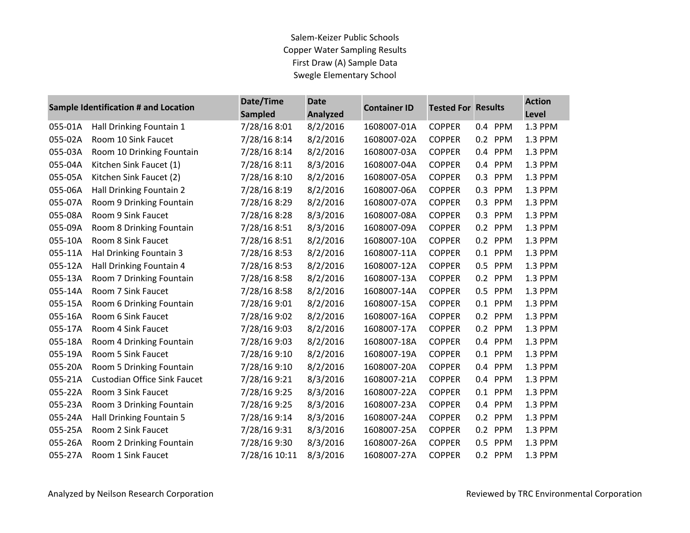# Salem-Keizer Public Schools Copper Water Sampling Results First Draw (A) Sample Data Swegle Elementary School

| <b>Sample Identification # and Location</b> |                                     | Date/Time<br><b>Sampled</b> | <b>Date</b><br><b>Analyzed</b> | <b>Container ID</b> |               | <b>Tested For Results</b> |         |
|---------------------------------------------|-------------------------------------|-----------------------------|--------------------------------|---------------------|---------------|---------------------------|---------|
| 055-01A                                     | Hall Drinking Fountain 1            | 7/28/16 8:01                | 8/2/2016                       | 1608007-01A         | <b>COPPER</b> | 0.4 PPM                   | 1.3 PPM |
| 055-02A                                     | Room 10 Sink Faucet                 | 7/28/16 8:14                | 8/2/2016                       | 1608007-02A         | <b>COPPER</b> | 0.2 PPM                   | 1.3 PPM |
| 055-03A                                     | Room 10 Drinking Fountain           | 7/28/16 8:14                | 8/2/2016                       | 1608007-03A         | <b>COPPER</b> | 0.4<br>PPM                | 1.3 PPM |
| 055-04A                                     | Kitchen Sink Faucet (1)             | 7/28/16 8:11                | 8/3/2016                       | 1608007-04A         | <b>COPPER</b> | 0.4 PPM                   | 1.3 PPM |
| 055-05A                                     | Kitchen Sink Faucet (2)             | 7/28/16 8:10                | 8/2/2016                       | 1608007-05A         | <b>COPPER</b> | 0.3<br>PPM                | 1.3 PPM |
| 055-06A                                     | Hall Drinking Fountain 2            | 7/28/16 8:19                | 8/2/2016                       | 1608007-06A         | <b>COPPER</b> | 0.3<br>PPM                | 1.3 PPM |
| 055-07A                                     | Room 9 Drinking Fountain            | 7/28/16 8:29                | 8/2/2016                       | 1608007-07A         | <b>COPPER</b> | 0.3<br>PPM                | 1.3 PPM |
| 055-08A                                     | Room 9 Sink Faucet                  | 7/28/16 8:28                | 8/3/2016                       | 1608007-08A         | <b>COPPER</b> | PPM<br>0.3                | 1.3 PPM |
| 055-09A                                     | Room 8 Drinking Fountain            | 7/28/16 8:51                | 8/3/2016                       | 1608007-09A         | <b>COPPER</b> | 0.2 PPM                   | 1.3 PPM |
| 055-10A                                     | Room 8 Sink Faucet                  | 7/28/16 8:51                | 8/2/2016                       | 1608007-10A         | <b>COPPER</b> | 0.2<br>PPM                | 1.3 PPM |
| 055-11A                                     | Hal Drinking Fountain 3             | 7/28/16 8:53                | 8/2/2016                       | 1608007-11A         | <b>COPPER</b> | 0.1 PPM                   | 1.3 PPM |
| 055-12A                                     | Hall Drinking Fountain 4            | 7/28/16 8:53                | 8/2/2016                       | 1608007-12A         | <b>COPPER</b> | 0.5<br>PPM                | 1.3 PPM |
| 055-13A                                     | Room 7 Drinking Fountain            | 7/28/16 8:58                | 8/2/2016                       | 1608007-13A         | <b>COPPER</b> | 0.2 PPM                   | 1.3 PPM |
| 055-14A                                     | Room 7 Sink Faucet                  | 7/28/16 8:58                | 8/2/2016                       | 1608007-14A         | <b>COPPER</b> | 0.5<br>PPM                | 1.3 PPM |
| 055-15A                                     | Room 6 Drinking Fountain            | 7/28/16 9:01                | 8/2/2016                       | 1608007-15A         | <b>COPPER</b> | PPM<br>0.1                | 1.3 PPM |
| 055-16A                                     | Room 6 Sink Faucet                  | 7/28/16 9:02                | 8/2/2016                       | 1608007-16A         | <b>COPPER</b> | 0.2 PPM                   | 1.3 PPM |
| 055-17A                                     | Room 4 Sink Faucet                  | 7/28/16 9:03                | 8/2/2016                       | 1608007-17A         | <b>COPPER</b> | 0.2<br>PPM                | 1.3 PPM |
| 055-18A                                     | Room 4 Drinking Fountain            | 7/28/16 9:03                | 8/2/2016                       | 1608007-18A         | <b>COPPER</b> | 0.4 PPM                   | 1.3 PPM |
| 055-19A                                     | Room 5 Sink Faucet                  | 7/28/16 9:10                | 8/2/2016                       | 1608007-19A         | <b>COPPER</b> | 0.1<br>PPM                | 1.3 PPM |
| 055-20A                                     | Room 5 Drinking Fountain            | 7/28/16 9:10                | 8/2/2016                       | 1608007-20A         | <b>COPPER</b> | 0.4 PPM                   | 1.3 PPM |
| 055-21A                                     | <b>Custodian Office Sink Faucet</b> | 7/28/16 9:21                | 8/3/2016                       | 1608007-21A         | <b>COPPER</b> | 0.4<br>PPM                | 1.3 PPM |
| 055-22A                                     | Room 3 Sink Faucet                  | 7/28/16 9:25                | 8/3/2016                       | 1608007-22A         | <b>COPPER</b> | 0.1<br><b>PPM</b>         | 1.3 PPM |
| 055-23A                                     | Room 3 Drinking Fountain            | 7/28/16 9:25                | 8/3/2016                       | 1608007-23A         | <b>COPPER</b> | 0.4 PPM                   | 1.3 PPM |
| 055-24A                                     | Hall Drinking Fountain 5            | 7/28/16 9:14                | 8/3/2016                       | 1608007-24A         | <b>COPPER</b> | PPM<br>0.2                | 1.3 PPM |
| 055-25A                                     | Room 2 Sink Faucet                  | 7/28/16 9:31                | 8/3/2016                       | 1608007-25A         | <b>COPPER</b> | 0.2 PPM                   | 1.3 PPM |
| 055-26A                                     | Room 2 Drinking Fountain            | 7/28/16 9:30                | 8/3/2016                       | 1608007-26A         | <b>COPPER</b> | 0.5<br>PPM                | 1.3 PPM |
| 055-27A                                     | Room 1 Sink Faucet                  | 7/28/16 10:11               | 8/3/2016                       | 1608007-27A         | <b>COPPER</b> | 0.2 PPM                   | 1.3 PPM |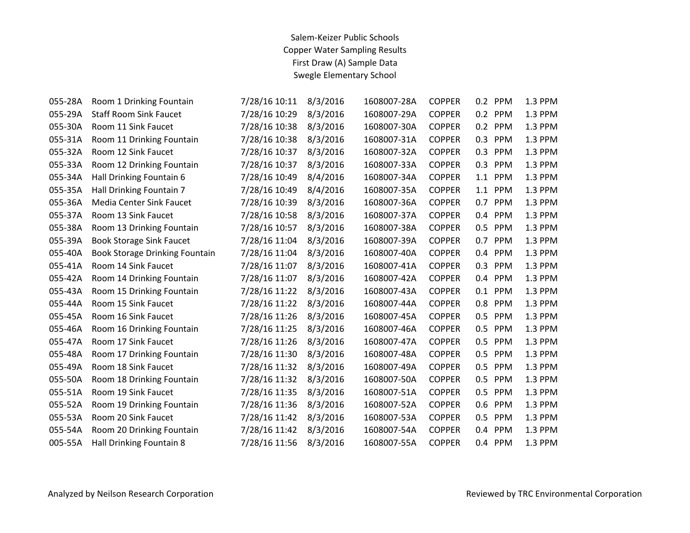# Salem-Keizer Public Schools Copper Water Sampling Results First Draw (A) Sample Data Swegle Elementary School

| 0.2 PPM<br>1.3 PPM<br>0.2 PPM<br>1.3 PPM<br>PPM<br>1.3 PPM<br>0.3 PPM<br>1.3 PPM<br>0.3 PPM<br>1.3 PPM<br>1.1 PPM<br>1.3 PPM<br>1.1 PPM<br>1.3 PPM<br>0.7 PPM<br>1.3 PPM<br>0.4 PPM<br>1.3 PPM<br><b>PPM</b><br>1.3 PPM |
|-------------------------------------------------------------------------------------------------------------------------------------------------------------------------------------------------------------------------|
|                                                                                                                                                                                                                         |
|                                                                                                                                                                                                                         |
|                                                                                                                                                                                                                         |
|                                                                                                                                                                                                                         |
|                                                                                                                                                                                                                         |
|                                                                                                                                                                                                                         |
|                                                                                                                                                                                                                         |
|                                                                                                                                                                                                                         |
|                                                                                                                                                                                                                         |
|                                                                                                                                                                                                                         |
| 0.7 PPM<br>1.3 PPM                                                                                                                                                                                                      |
| 0.4 PPM<br>1.3 PPM                                                                                                                                                                                                      |
| PPM<br>1.3 PPM                                                                                                                                                                                                          |
| 0.4 PPM<br>1.3 PPM                                                                                                                                                                                                      |
| 0.1 PPM<br>1.3 PPM                                                                                                                                                                                                      |
| PPM<br>1.3 PPM                                                                                                                                                                                                          |
| PPM<br>1.3 PPM                                                                                                                                                                                                          |
| 0.5 PPM<br>1.3 PPM                                                                                                                                                                                                      |
| PPM<br>1.3 PPM                                                                                                                                                                                                          |
| PPM<br>1.3 PPM                                                                                                                                                                                                          |
| 1.3 PPM                                                                                                                                                                                                                 |
| 1.3 PPM                                                                                                                                                                                                                 |
| 1.3 PPM                                                                                                                                                                                                                 |
| 1.3 PPM                                                                                                                                                                                                                 |
| 1.3 PPM                                                                                                                                                                                                                 |
|                                                                                                                                                                                                                         |
| 1.3 PPM                                                                                                                                                                                                                 |
| 0.5 PPM<br><b>PPM</b><br>PPM<br>PPM<br>PPM<br>PPM                                                                                                                                                                       |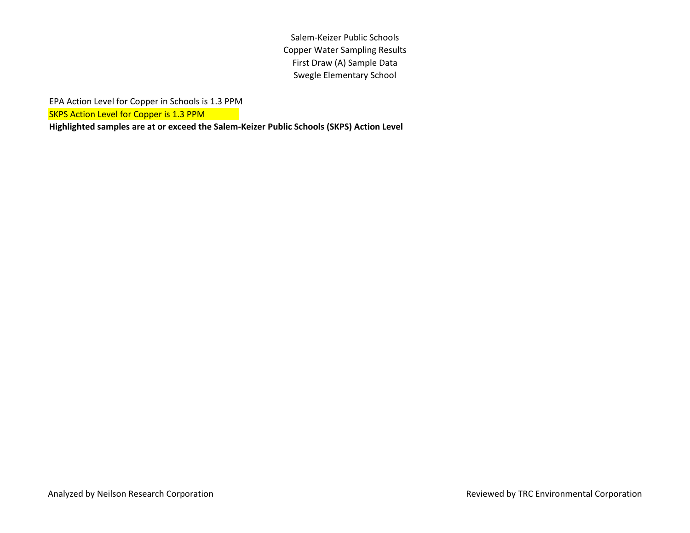Salem-Keizer Public Schools Copper Water Sampling Results First Draw (A) Sample Data Swegle Elementary School

EPA Action Level for Copper in Schools is 1.3 PPM

**SKPS Action Level for Copper is 1.3 PPM**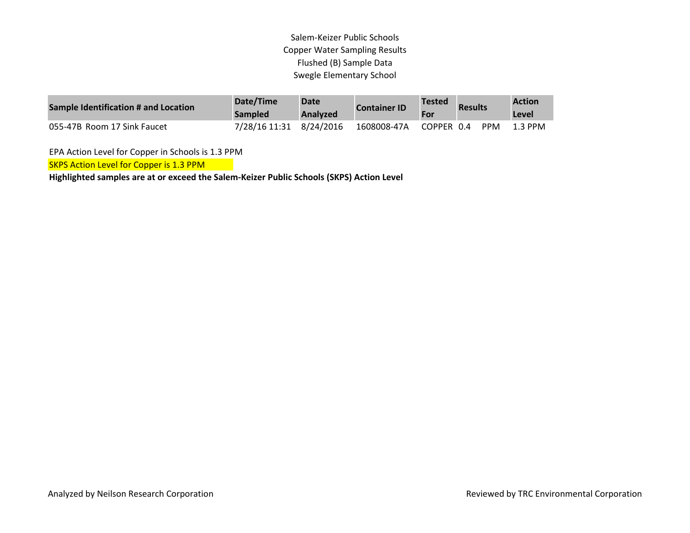# Salem-Keizer Public Schools Copper Water Sampling Results Flushed (B) Sample Data Swegle Elementary School

| Sample Identification # and Location | Date/Time<br><b>Sampled</b> | <b>Date</b><br><b>Analyzed</b> | <b>Container ID</b> | <b>Tested</b><br>For | <b>Results</b> |            | <b>Action</b><br>Level |
|--------------------------------------|-----------------------------|--------------------------------|---------------------|----------------------|----------------|------------|------------------------|
| 055-47B Room 17 Sink Faucet          | 7/28/16 11:31 8/24/2016     |                                | 1608008-47A         | COPPER 0.4           |                | <b>PPM</b> | 1.3 PPM                |

EPA Action Level for Copper in Schools is 1.3 PPM

SKPS Action Level for Copper is 1.3 PPM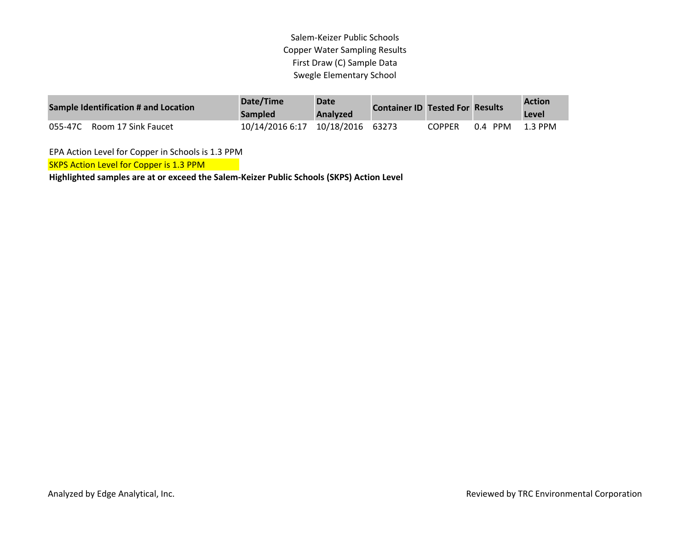Salem-Keizer Public Schools Copper Water Sampling Results First Draw (C) Sample Data Swegle Elementary School

| <b>Sample Identification # and Location</b> |  | Date/Time<br><b>Sampled</b> | <b>Date</b><br><b>Analyzed</b> | <b>Container ID Tested For Results</b> |               |           | <b>Action</b><br>Level |
|---------------------------------------------|--|-----------------------------|--------------------------------|----------------------------------------|---------------|-----------|------------------------|
| 055-47C<br>Room 17 Sink Faucet              |  | 10/14/2016 6:17 10/18/2016  |                                | 63273                                  | <b>COPPER</b> | $0.4$ PPM | 1.3 PPM                |

EPA Action Level for Copper in Schools is 1.3 PPM

SKPS Action Level for Copper is 1.3 PPM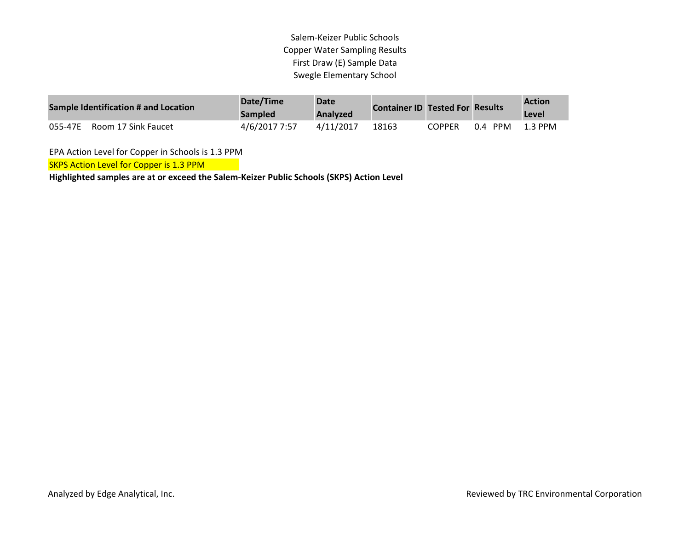# Salem-Keizer Public Schools Copper Water Sampling Results First Draw (E) Sample Data Swegle Elementary School

| Sample Identification # and Location | Date/Time<br><b>Sampled</b> | <b>Date</b><br><b>Analyzed</b> | <b>Container ID Tested For Results</b> |        |         | <b>Action</b><br>Level |
|--------------------------------------|-----------------------------|--------------------------------|----------------------------------------|--------|---------|------------------------|
| 055-47E<br>Room 17 Sink Faucet       | 4/6/2017 7:57               | 4/11/2017                      | 18163                                  | COPPER | 0.4 PPM | 1.3 PPM                |

EPA Action Level for Copper in Schools is 1.3 PPM

SKPS Action Level for Copper is 1.3 PPM